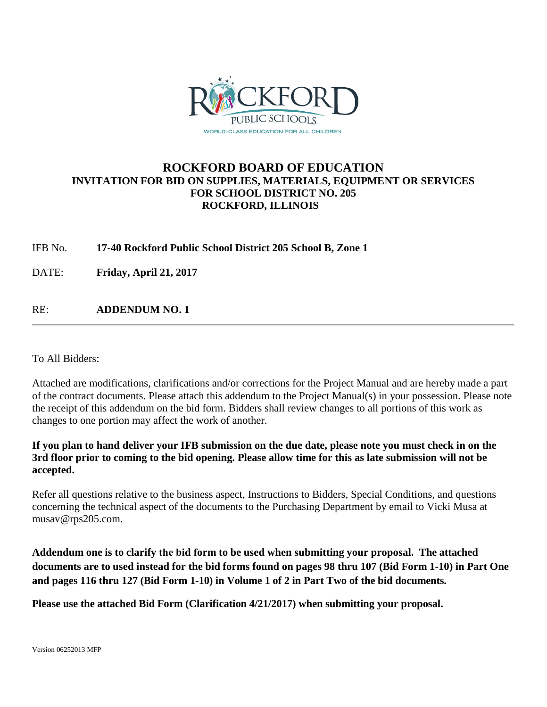

# **ROCKFORD BOARD OF EDUCATION INVITATION FOR BID ON SUPPLIES, MATERIALS, EQUIPMENT OR SERVICES FOR SCHOOL DISTRICT NO. 205 ROCKFORD, ILLINOIS**

IFB No. **17-40 Rockford Public School District 205 School B, Zone 1**

DATE: **Friday, April 21, 2017** 

RE: **ADDENDUM NO. 1**

To All Bidders:

Attached are modifications, clarifications and/or corrections for the Project Manual and are hereby made a part of the contract documents. Please attach this addendum to the Project Manual(s) in your possession. Please note the receipt of this addendum on the bid form. Bidders shall review changes to all portions of this work as changes to one portion may affect the work of another.

**If you plan to hand deliver your IFB submission on the due date, please note you must check in on the 3rd floor prior to coming to the bid opening. Please allow time for this as late submission will not be accepted.**

Refer all questions relative to the business aspect, Instructions to Bidders, Special Conditions, and questions concerning the technical aspect of the documents to the Purchasing Department by email to Vicki Musa at musav@rps205.com.

**Addendum one is to clarify the bid form to be used when submitting your proposal. The attached documents are to used instead for the bid forms found on pages 98 thru 107 (Bid Form 1-10) in Part One and pages 116 thru 127 (Bid Form 1-10) in Volume 1 of 2 in Part Two of the bid documents.** 

**Please use the attached Bid Form (Clarification 4/21/2017) when submitting your proposal.**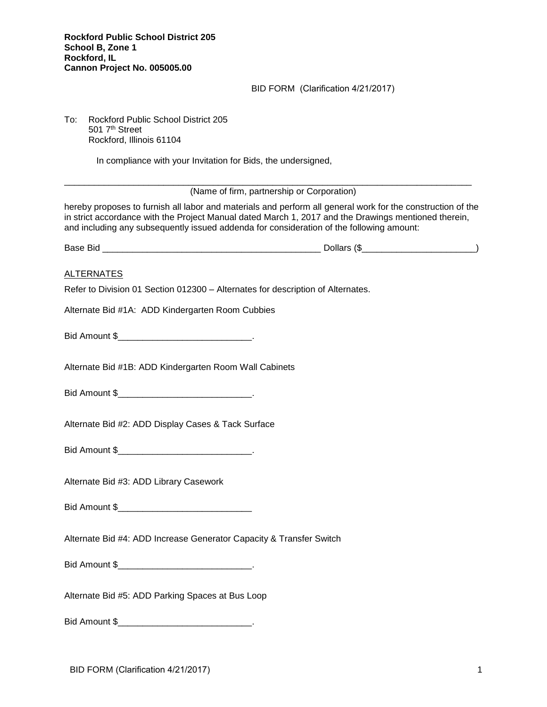## BID FORM (Clarification 4/21/2017)

To: Rockford Public School District 205 501 7th Street Rockford, Illinois 61104

In compliance with your Invitation for Bids, the undersigned,

\_\_\_\_\_\_\_\_\_\_\_\_\_\_\_\_\_\_\_\_\_\_\_\_\_\_\_\_\_\_\_\_\_\_\_\_\_\_\_\_\_\_\_\_\_\_\_\_\_\_\_\_\_\_\_\_\_\_\_\_\_\_\_\_\_\_\_\_\_\_\_\_\_\_\_\_\_\_\_\_\_\_ (Name of firm, partnership or Corporation)

hereby proposes to furnish all labor and materials and perform all general work for the construction of the in strict accordance with the Project Manual dated March 1, 2017 and the Drawings mentioned therein, and including any subsequently issued addenda for consideration of the following amount:

| $\overline{\phantom{a}}$<br>ва.<br><br>יי<br>-- | . |
|-------------------------------------------------|---|
|-------------------------------------------------|---|

#### ALTERNATES

Refer to Division 01 Section 012300 – Alternates for description of Alternates.

Alternate Bid #1A: ADD Kindergarten Room Cubbies

Bid Amount \$

Alternate Bid #1B: ADD Kindergarten Room Wall Cabinets

Bid Amount \$

Alternate Bid #2: ADD Display Cases & Tack Surface

Bid Amount \$\_\_\_\_\_\_\_\_\_\_\_\_\_\_\_\_\_\_\_\_\_\_\_\_\_\_\_\_\_\_\_\_.

Alternate Bid #3: ADD Library Casework

Bid Amount \$

Alternate Bid #4: ADD Increase Generator Capacity & Transfer Switch

Bid Amount \$\_\_\_\_\_\_\_\_\_\_\_\_\_\_\_\_\_\_\_\_\_\_\_\_\_\_\_\_\_\_\_.

Alternate Bid #5: ADD Parking Spaces at Bus Loop

Bid Amount \$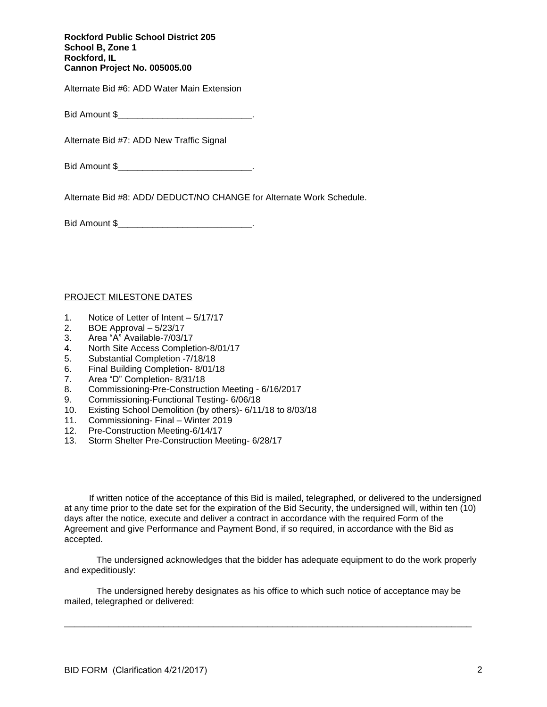Alternate Bid #6: ADD Water Main Extension

Bid Amount \$

Alternate Bid #7: ADD New Traffic Signal

Bid Amount \$

Alternate Bid #8: ADD/ DEDUCT/NO CHANGE for Alternate Work Schedule.

Bid Amount \$

## PROJECT MILESTONE DATES

- 1. Notice of Letter of Intent 5/17/17
- 2. BOE Approval 5/23/17
- 3. Area "A" Available-7/03/17
- 4. North Site Access Completion-8/01/17
- 5. Substantial Completion -7/18/18
- 6. Final Building Completion- 8/01/18
- 7. Area "D" Completion- 8/31/18
- 8. Commissioning-Pre-Construction Meeting 6/16/2017
- 9. Commissioning-Functional Testing- 6/06/18
- 10. Existing School Demolition (by others)- 6/11/18 to 8/03/18
- 11. Commissioning- Final Winter 2019
- 12. Pre-Construction Meeting-6/14/17
- 13. Storm Shelter Pre-Construction Meeting- 6/28/17

If written notice of the acceptance of this Bid is mailed, telegraphed, or delivered to the undersigned at any time prior to the date set for the expiration of the Bid Security, the undersigned will, within ten (10) days after the notice, execute and deliver a contract in accordance with the required Form of the Agreement and give Performance and Payment Bond, if so required, in accordance with the Bid as accepted.

 The undersigned acknowledges that the bidder has adequate equipment to do the work properly and expeditiously:

The undersigned hereby designates as his office to which such notice of acceptance may be mailed, telegraphed or delivered:

\_\_\_\_\_\_\_\_\_\_\_\_\_\_\_\_\_\_\_\_\_\_\_\_\_\_\_\_\_\_\_\_\_\_\_\_\_\_\_\_\_\_\_\_\_\_\_\_\_\_\_\_\_\_\_\_\_\_\_\_\_\_\_\_\_\_\_\_\_\_\_\_\_\_\_\_\_\_\_\_\_\_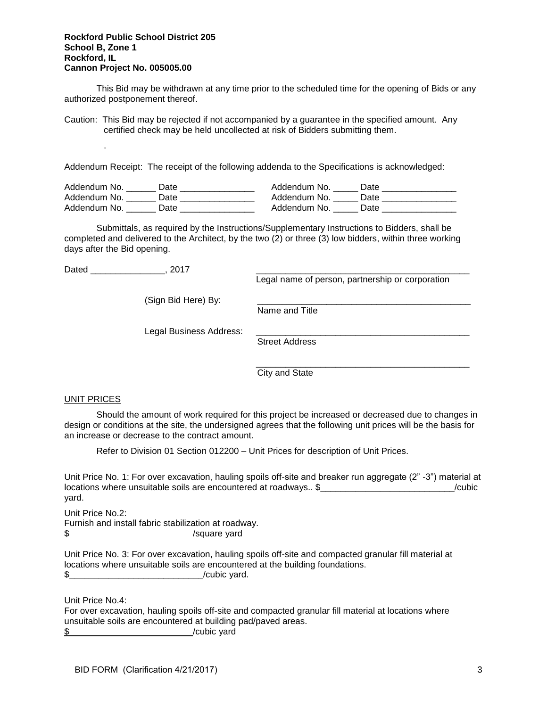This Bid may be withdrawn at any time prior to the scheduled time for the opening of Bids or any authorized postponement thereof.

Caution: This Bid may be rejected if not accompanied by a guarantee in the specified amount. Any certified check may be held uncollected at risk of Bidders submitting them.

Addendum Receipt: The receipt of the following addenda to the Specifications is acknowledged:

| Addendum No. | )ate | Addendum No.<br>Date |
|--------------|------|----------------------|
| Addendum No. | Jate | Addendum No.<br>Date |
| Addendum No. | Jate | Addendum No.<br>Date |

Submittals, as required by the Instructions/Supplementary Instructions to Bidders, shall be completed and delivered to the Architect, by the two (2) or three (3) low bidders, within three working days after the Bid opening.

Dated \_\_\_\_\_\_\_\_\_\_\_\_\_\_\_\_\_\_\_\_\_\_\_, 2017

.

Legal name of person, partnership or corporation

\_\_\_\_\_\_\_\_\_\_\_\_\_\_\_\_\_\_\_\_\_\_\_\_\_\_\_\_\_\_\_\_\_\_\_\_\_\_\_\_\_\_\_

(Sign Bid Here) By:

Name and Title

Legal Business Address:

Street Address

City and State

#### UNIT PRICES

Should the amount of work required for this project be increased or decreased due to changes in design or conditions at the site, the undersigned agrees that the following unit prices will be the basis for an increase or decrease to the contract amount.

Refer to Division 01 Section 012200 – Unit Prices for description of Unit Prices.

Unit Price No. 1: For over excavation, hauling spoils off-site and breaker run aggregate (2" -3") material at locations where unsuitable soils are encountered at roadways.. \$ <br>
Cubic yard.

Unit Price No.2: Furnish and install fabric stabilization at roadway. \$ /square yard

Unit Price No. 3: For over excavation, hauling spoils off-site and compacted granular fill material at locations where unsuitable soils are encountered at the building foundations.  $\frac{1}{2}$  /cubic yard.

Unit Price No.4:

For over excavation, hauling spoils off-site and compacted granular fill material at locations where unsuitable soils are encountered at building pad/paved areas.

\$ /cubic yard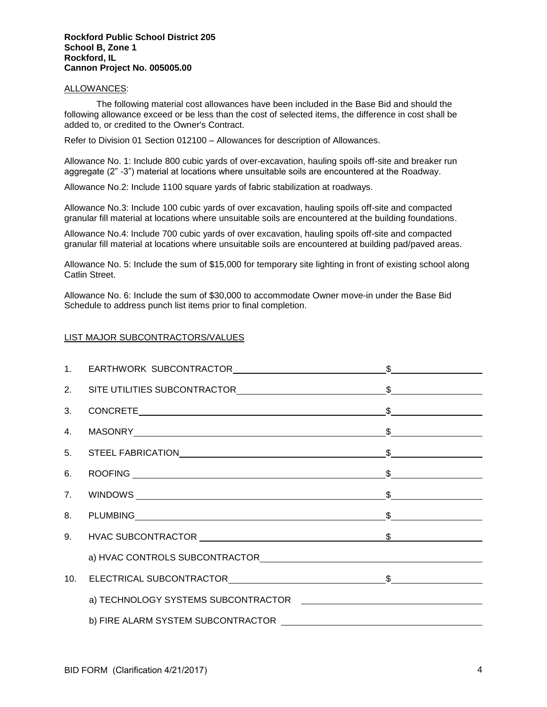## ALLOWANCES:

The following material cost allowances have been included in the Base Bid and should the following allowance exceed or be less than the cost of selected items, the difference in cost shall be added to, or credited to the Owner's Contract.

Refer to Division 01 Section 012100 – Allowances for description of Allowances.

Allowance No. 1: Include 800 cubic yards of over-excavation, hauling spoils off-site and breaker run aggregate (2" -3") material at locations where unsuitable soils are encountered at the Roadway.

Allowance No.2: Include 1100 square yards of fabric stabilization at roadways.

Allowance No.3: Include 100 cubic yards of over excavation, hauling spoils off-site and compacted granular fill material at locations where unsuitable soils are encountered at the building foundations.

Allowance No.4: Include 700 cubic yards of over excavation, hauling spoils off-site and compacted granular fill material at locations where unsuitable soils are encountered at building pad/paved areas.

Allowance No. 5: Include the sum of \$15,000 for temporary site lighting in front of existing school along Catlin Street.

Allowance No. 6: Include the sum of \$30,000 to accommodate Owner move-in under the Base Bid Schedule to address punch list items prior to final completion.

# LIST MAJOR SUBCONTRACTORS/VALUES

| 8. PLUMBING 5. Second 1. Second 1. Second 1. Second 1. Second 1. Second 1. Second 1. Second 1. Second 1. Second 1. Second 1. Second 1. Second 1. Second 1. Second 1. Second 1. Second 1. Second 1. Second 1. Second 1. Second |  |
|-------------------------------------------------------------------------------------------------------------------------------------------------------------------------------------------------------------------------------|--|
|                                                                                                                                                                                                                               |  |
|                                                                                                                                                                                                                               |  |
|                                                                                                                                                                                                                               |  |
|                                                                                                                                                                                                                               |  |
|                                                                                                                                                                                                                               |  |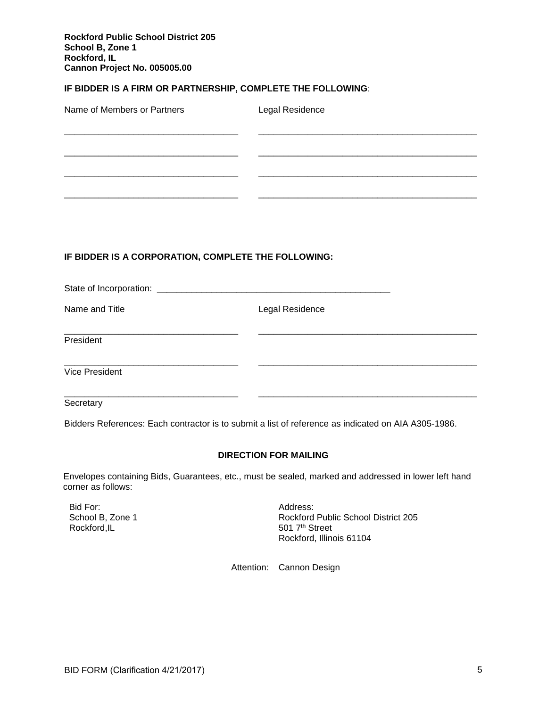## **IF BIDDER IS A FIRM OR PARTNERSHIP, COMPLETE THE FOLLOWING**:

| Name of Members or Partners | Legal Residence |
|-----------------------------|-----------------|
|                             |                 |
|                             |                 |
|                             |                 |

# **IF BIDDER IS A CORPORATION, COMPLETE THE FOLLOWING:**

| State of Incorporation: ___________________ |                 |  |
|---------------------------------------------|-----------------|--|
| Name and Title                              | Legal Residence |  |
| President                                   |                 |  |
| Vice President                              |                 |  |
|                                             |                 |  |

**Secretary** 

Bidders References: Each contractor is to submit a list of reference as indicated on AIA A305-1986.

#### **DIRECTION FOR MAILING**

Envelopes containing Bids, Guarantees, etc., must be sealed, marked and addressed in lower left hand corner as follows:

Bid For: Address: School B, Zone 1 Rockford,IL

Rockford Public School District 205 501 7<sup>th</sup> Street Rockford, Illinois 61104

Attention: Cannon Design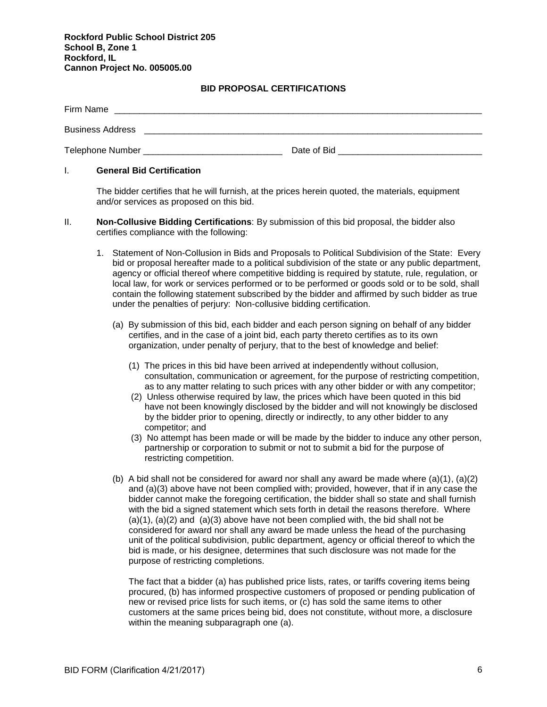# **BID PROPOSAL CERTIFICATIONS**

| Firm Name               |             |
|-------------------------|-------------|
| <b>Business Address</b> |             |
| Telephone Number        | Date of Bid |

## I. **General Bid Certification**

The bidder certifies that he will furnish, at the prices herein quoted, the materials, equipment and/or services as proposed on this bid.

- II. **Non-Collusive Bidding Certifications**: By submission of this bid proposal, the bidder also certifies compliance with the following:
	- 1. Statement of Non-Collusion in Bids and Proposals to Political Subdivision of the State: Every bid or proposal hereafter made to a political subdivision of the state or any public department, agency or official thereof where competitive bidding is required by statute, rule, regulation, or local law, for work or services performed or to be performed or goods sold or to be sold, shall contain the following statement subscribed by the bidder and affirmed by such bidder as true under the penalties of perjury: Non-collusive bidding certification.
		- (a) By submission of this bid, each bidder and each person signing on behalf of any bidder certifies, and in the case of a joint bid, each party thereto certifies as to its own organization, under penalty of perjury, that to the best of knowledge and belief:
			- (1) The prices in this bid have been arrived at independently without collusion, consultation, communication or agreement, for the purpose of restricting competition, as to any matter relating to such prices with any other bidder or with any competitor;
			- (2) Unless otherwise required by law, the prices which have been quoted in this bid have not been knowingly disclosed by the bidder and will not knowingly be disclosed by the bidder prior to opening, directly or indirectly, to any other bidder to any competitor; and
			- (3) No attempt has been made or will be made by the bidder to induce any other person, partnership or corporation to submit or not to submit a bid for the purpose of restricting competition.
		- (b) A bid shall not be considered for award nor shall any award be made where  $(a)(1)$ ,  $(a)(2)$ and (a)(3) above have not been complied with; provided, however, that if in any case the bidder cannot make the foregoing certification, the bidder shall so state and shall furnish with the bid a signed statement which sets forth in detail the reasons therefore. Where  $(a)(1)$ ,  $(a)(2)$  and  $(a)(3)$  above have not been complied with, the bid shall not be considered for award nor shall any award be made unless the head of the purchasing unit of the political subdivision, public department, agency or official thereof to which the bid is made, or his designee, determines that such disclosure was not made for the purpose of restricting completions.

The fact that a bidder (a) has published price lists, rates, or tariffs covering items being procured, (b) has informed prospective customers of proposed or pending publication of new or revised price lists for such items, or (c) has sold the same items to other customers at the same prices being bid, does not constitute, without more, a disclosure within the meaning subparagraph one (a).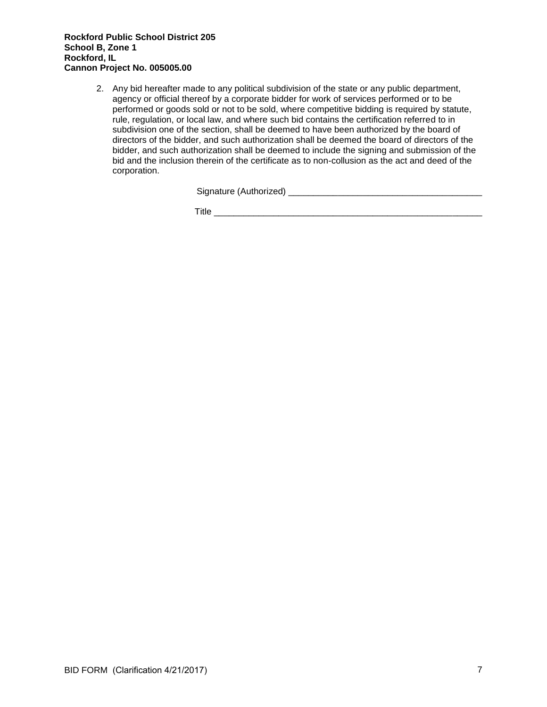2. Any bid hereafter made to any political subdivision of the state or any public department, agency or official thereof by a corporate bidder for work of services performed or to be performed or goods sold or not to be sold, where competitive bidding is required by statute, rule, regulation, or local law, and where such bid contains the certification referred to in subdivision one of the section, shall be deemed to have been authorized by the board of directors of the bidder, and such authorization shall be deemed the board of directors of the bidder, and such authorization shall be deemed to include the signing and submission of the bid and the inclusion therein of the certificate as to non-collusion as the act and deed of the corporation.

Signature (Authorized) \_\_\_\_\_\_\_\_\_\_\_\_\_\_\_\_\_\_\_\_\_\_\_\_\_\_\_\_\_\_\_\_\_\_\_\_\_\_\_

Title \_\_\_\_\_\_\_\_\_\_\_\_\_\_\_\_\_\_\_\_\_\_\_\_\_\_\_\_\_\_\_\_\_\_\_\_\_\_\_\_\_\_\_\_\_\_\_\_\_\_\_\_\_\_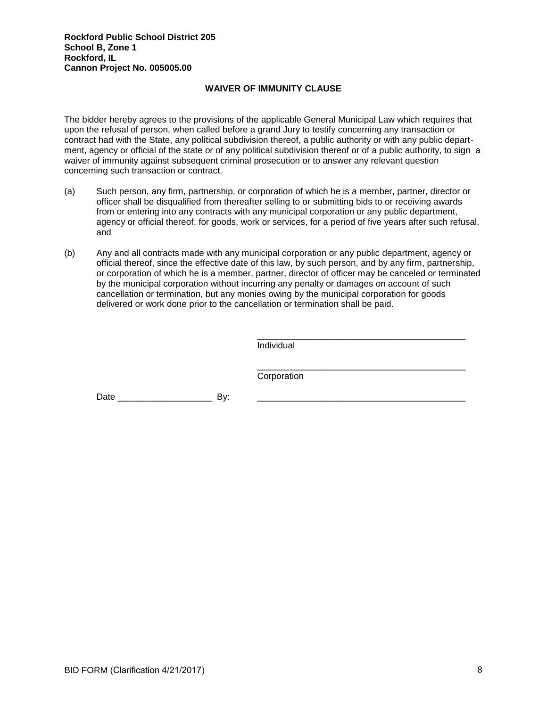# **WAIVER OF IMMUNITY CLAUSE**

The bidder hereby agrees to the provisions of the applicable General Municipal Law which requires that upon the refusal of person, when called before a grand Jury to testify concerning any transaction or contract had with the State, any political subdivision thereof, a public authority or with any public department, agency or official of the state or of any political subdivision thereof or of a public authority, to sign a waiver of immunity against subsequent criminal prosecution or to answer any relevant question concerning such transaction or contract.

- (a) Such person, any firm, partnership, or corporation of which he is a member, partner, director or officer shall be disqualified from thereafter selling to or submitting bids to or receiving awards from or entering into any contracts with any municipal corporation or any public department, agency or official thereof, for goods, work or services, for a period of five years after such refusal, and
- (b) Any and all contracts made with any municipal corporation or any public department, agency or official thereof, since the effective date of this law, by such person, and by any firm, partnership, or corporation of which he is a member, partner, director of officer may be canceled or terminated by the municipal corporation without incurring any penalty or damages on account of such cancellation or termination, but any monies owing by the municipal corporation for goods delivered or work done prior to the cancellation or termination shall be paid.

Individual

\_\_\_\_\_\_\_\_\_\_\_\_\_\_\_\_\_\_\_\_\_\_\_\_\_\_\_\_\_\_\_\_\_\_\_\_\_\_\_\_\_\_

\_\_\_\_\_\_\_\_\_\_\_\_\_\_\_\_\_\_\_\_\_\_\_\_\_\_\_\_\_\_\_\_\_\_\_\_\_\_\_\_\_\_ Corporation

Date \_\_\_\_\_\_\_\_\_\_\_\_\_\_\_\_\_\_\_ By: \_\_\_\_\_\_\_\_\_\_\_\_\_\_\_\_\_\_\_\_\_\_\_\_\_\_\_\_\_\_\_\_\_\_\_\_\_\_\_\_\_\_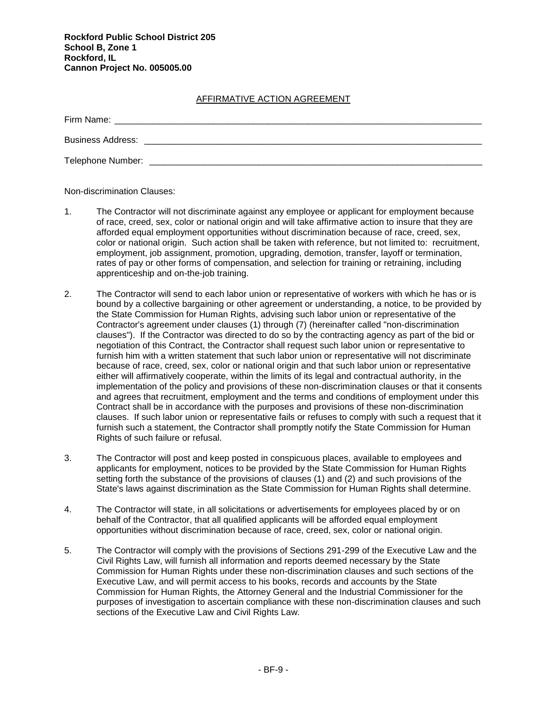# AFFIRMATIVE ACTION AGREEMENT

| Firm Name:               |  |
|--------------------------|--|
| <b>Business Address:</b> |  |
| Telephone Number:        |  |

Non-discrimination Clauses:

- 1. The Contractor will not discriminate against any employee or applicant for employment because of race, creed, sex, color or national origin and will take affirmative action to insure that they are afforded equal employment opportunities without discrimination because of race, creed, sex, color or national origin. Such action shall be taken with reference, but not limited to: recruitment, employment, job assignment, promotion, upgrading, demotion, transfer, layoff or termination, rates of pay or other forms of compensation, and selection for training or retraining, including apprenticeship and on-the-job training.
- 2. The Contractor will send to each labor union or representative of workers with which he has or is bound by a collective bargaining or other agreement or understanding, a notice, to be provided by the State Commission for Human Rights, advising such labor union or representative of the Contractor's agreement under clauses (1) through (7) (hereinafter called "non-discrimination clauses"). If the Contractor was directed to do so by the contracting agency as part of the bid or negotiation of this Contract, the Contractor shall request such labor union or representative to furnish him with a written statement that such labor union or representative will not discriminate because of race, creed, sex, color or national origin and that such labor union or representative either will affirmatively cooperate, within the limits of its legal and contractual authority, in the implementation of the policy and provisions of these non-discrimination clauses or that it consents and agrees that recruitment, employment and the terms and conditions of employment under this Contract shall be in accordance with the purposes and provisions of these non-discrimination clauses. If such labor union or representative fails or refuses to comply with such a request that it furnish such a statement, the Contractor shall promptly notify the State Commission for Human Rights of such failure or refusal.
- 3. The Contractor will post and keep posted in conspicuous places, available to employees and applicants for employment, notices to be provided by the State Commission for Human Rights setting forth the substance of the provisions of clauses (1) and (2) and such provisions of the State's laws against discrimination as the State Commission for Human Rights shall determine.
- 4. The Contractor will state, in all solicitations or advertisements for employees placed by or on behalf of the Contractor, that all qualified applicants will be afforded equal employment opportunities without discrimination because of race, creed, sex, color or national origin.
- 5. The Contractor will comply with the provisions of Sections 291-299 of the Executive Law and the Civil Rights Law, will furnish all information and reports deemed necessary by the State Commission for Human Rights under these non-discrimination clauses and such sections of the Executive Law, and will permit access to his books, records and accounts by the State Commission for Human Rights, the Attorney General and the Industrial Commissioner for the purposes of investigation to ascertain compliance with these non-discrimination clauses and such sections of the Executive Law and Civil Rights Law.